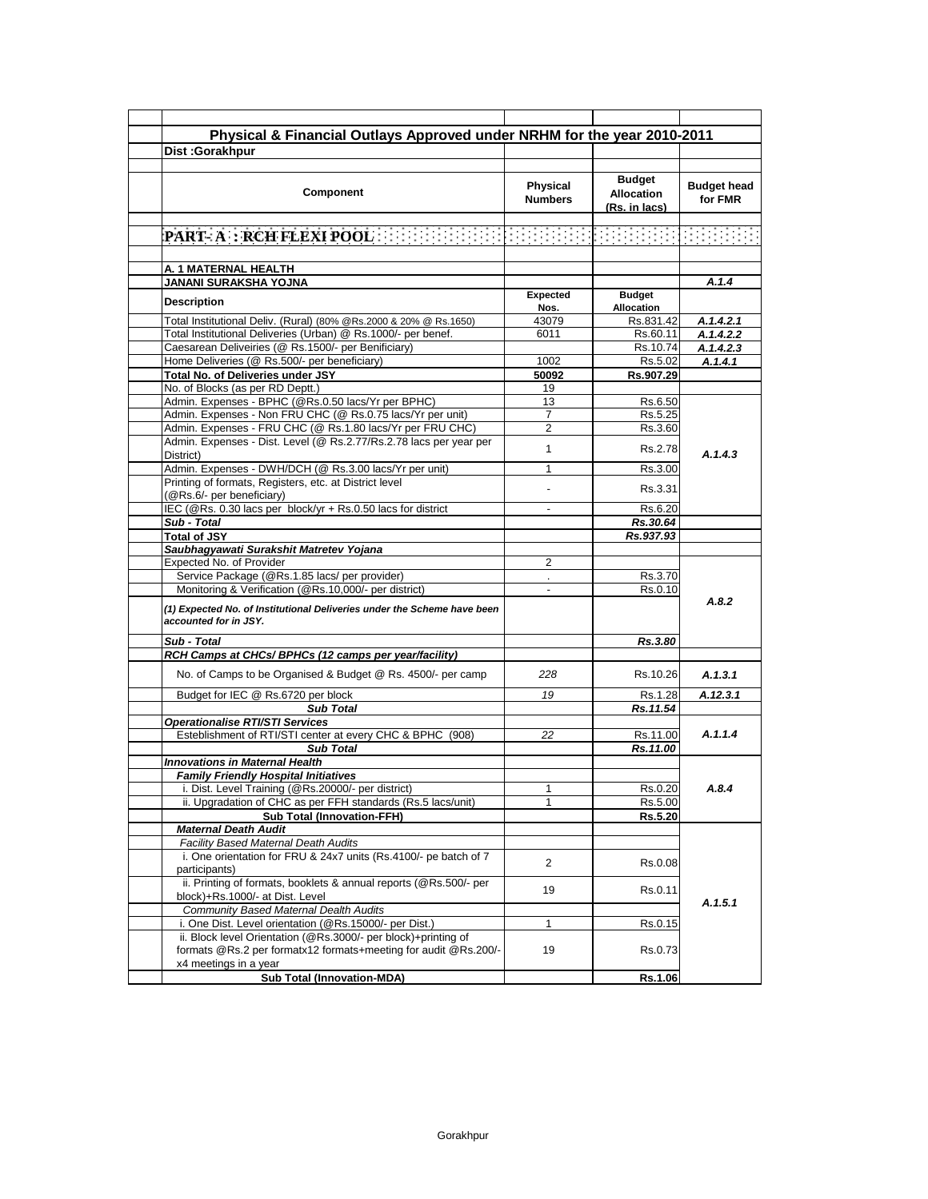| Physical & Financial Outlays Approved under NRHM for the year 2010-2011                                          |                            |                                                     |                               |
|------------------------------------------------------------------------------------------------------------------|----------------------------|-----------------------------------------------------|-------------------------------|
| Dist: Gorakhpur                                                                                                  |                            |                                                     |                               |
|                                                                                                                  |                            |                                                     |                               |
| Component                                                                                                        | Physical<br><b>Numbers</b> | <b>Budget</b><br><b>Allocation</b><br>(Rs. in lacs) | <b>Budget head</b><br>for FMR |
|                                                                                                                  |                            |                                                     |                               |
|                                                                                                                  |                            |                                                     |                               |
|                                                                                                                  |                            |                                                     |                               |
| A. 1 MATERNAL HEALTH<br>JANANI SURAKSHA YOJNA                                                                    |                            |                                                     | A.1.4                         |
|                                                                                                                  | <b>Expected</b>            | <b>Budget</b>                                       |                               |
| Description                                                                                                      | Nos.                       | <b>Allocation</b>                                   |                               |
| Total Institutional Deliv. (Rural) (80% @Rs.2000 & 20% @ Rs.1650)                                                | 43079                      | Rs.831.42                                           | A.1.4.2.1                     |
| Total Institutional Deliveries (Urban) @ Rs.1000/- per benef.                                                    | 6011                       | Rs.60.11                                            | A.1.4.2.2                     |
| Caesarean Deliveiries (@ Rs.1500/- per Benificiary)                                                              |                            | Rs.10.74                                            | A.1.4.2.3                     |
| Home Deliveries (@ Rs.500/- per beneficiary)                                                                     | 1002                       | Rs.5.02                                             | A.1.4.1                       |
| Total No. of Deliveries under JSY                                                                                | 50092                      | Rs.907.29                                           |                               |
| No. of Blocks (as per RD Deptt.)                                                                                 | 19                         |                                                     |                               |
| Admin. Expenses - BPHC (@Rs.0.50 lacs/Yr per BPHC)<br>Admin. Expenses - Non FRU CHC (@ Rs.0.75 lacs/Yr per unit) | 13<br>$\overline{7}$       | Rs.6.50<br>Rs.5.25                                  |                               |
| Admin. Expenses - FRU CHC (@ Rs.1.80 lacs/Yr per FRU CHC)                                                        | 2                          | Rs.3.60                                             |                               |
| Admin. Expenses - Dist. Level (@ Rs.2.77/Rs.2.78 lacs per year per                                               |                            |                                                     |                               |
| District)                                                                                                        | 1                          | Rs.2.78                                             | A.1.4.3                       |
| Admin. Expenses - DWH/DCH (@ Rs.3.00 lacs/Yr per unit)                                                           | 1                          | Rs.3.00                                             |                               |
| Printing of formats, Registers, etc. at District level                                                           |                            | Rs.3.31                                             |                               |
| (@Rs.6/- per beneficiary)<br>IEC (@Rs. 0.30 lacs per block/yr + Rs.0.50 lacs for district                        |                            |                                                     |                               |
| Sub - Total                                                                                                      |                            | Rs.6.20                                             |                               |
| <b>Total of JSY</b>                                                                                              |                            | Rs.30.64<br>Rs.937.93                               |                               |
| Saubhagyawati Surakshit Matretev Yojana                                                                          |                            |                                                     |                               |
| Expected No. of Provider                                                                                         | 2                          |                                                     |                               |
| Service Package (@Rs.1.85 lacs/ per provider)                                                                    | ¥.                         | Rs.3.70                                             |                               |
| Monitoring & Verification (@Rs.10,000/- per district)                                                            |                            | Rs.0.10                                             |                               |
| (1) Expected No. of Institutional Deliveries under the Scheme have been<br>accounted for in JSY.                 |                            |                                                     | A.8.2                         |
| Sub - Total                                                                                                      |                            | Rs.3.80                                             |                               |
| RCH Camps at CHCs/ BPHCs (12 camps per year/facility)                                                            |                            |                                                     |                               |
| No. of Camps to be Organised & Budget @ Rs. 4500/- per camp                                                      | 228                        | Rs.10.26                                            | A.1.3.1                       |
| Budget for IEC @ Rs.6720 per block                                                                               | 19                         | Rs.1.28                                             | A.12.3.1                      |
| <b>Sub Total</b>                                                                                                 |                            | Rs.11.54                                            |                               |
| <b>Operationalise RTI/STI Services</b>                                                                           |                            |                                                     |                               |
| Esteblishment of RTI/STI center at every CHC & BPHC (908)                                                        | 22                         | Rs.11.00                                            | A.1.1.4                       |
| <b>Sub Total</b>                                                                                                 |                            | Rs.11.00                                            |                               |
| <b>Innovations in Maternal Health</b><br><b>Family Friendly Hospital Initiatives</b>                             |                            |                                                     |                               |
| i. Dist. Level Training (@Rs.20000/- per district)                                                               | 1                          | Rs.0.20                                             | A.8.4                         |
| ii. Upgradation of CHC as per FFH standards (Rs.5 lacs/unit)                                                     | 1                          | Rs.5.00                                             |                               |
| <b>Sub Total (Innovation-FFH)</b>                                                                                |                            | Rs.5.20                                             |                               |
| <b>Maternal Death Audit</b>                                                                                      |                            |                                                     |                               |
| <b>Facility Based Maternal Death Audits</b>                                                                      |                            |                                                     |                               |
| i. One orientation for FRU & 24x7 units (Rs.4100/- pe batch of 7<br>participants)                                | 2                          | Rs.0.08                                             |                               |
| ii. Printing of formats, booklets & annual reports (@Rs.500/- per<br>block)+Rs.1000/- at Dist. Level             | 19                         | Rs.0.11                                             |                               |
| <b>Community Based Maternal Dealth Audits</b>                                                                    |                            |                                                     | A.1.5.1                       |
| i. One Dist. Level orientation (@Rs.15000/- per Dist.)                                                           | $\mathbf{1}$               | Rs.0.15                                             |                               |
| ii. Block level Orientation (@Rs.3000/- per block)+printing of                                                   |                            |                                                     |                               |
| formats @Rs.2 per formatx12 formats+meeting for audit @Rs.200/-                                                  | 19                         | Rs.0.73                                             |                               |
| x4 meetings in a year<br><b>Sub Total (Innovation-MDA)</b>                                                       |                            | Rs.1.06                                             |                               |
|                                                                                                                  |                            |                                                     |                               |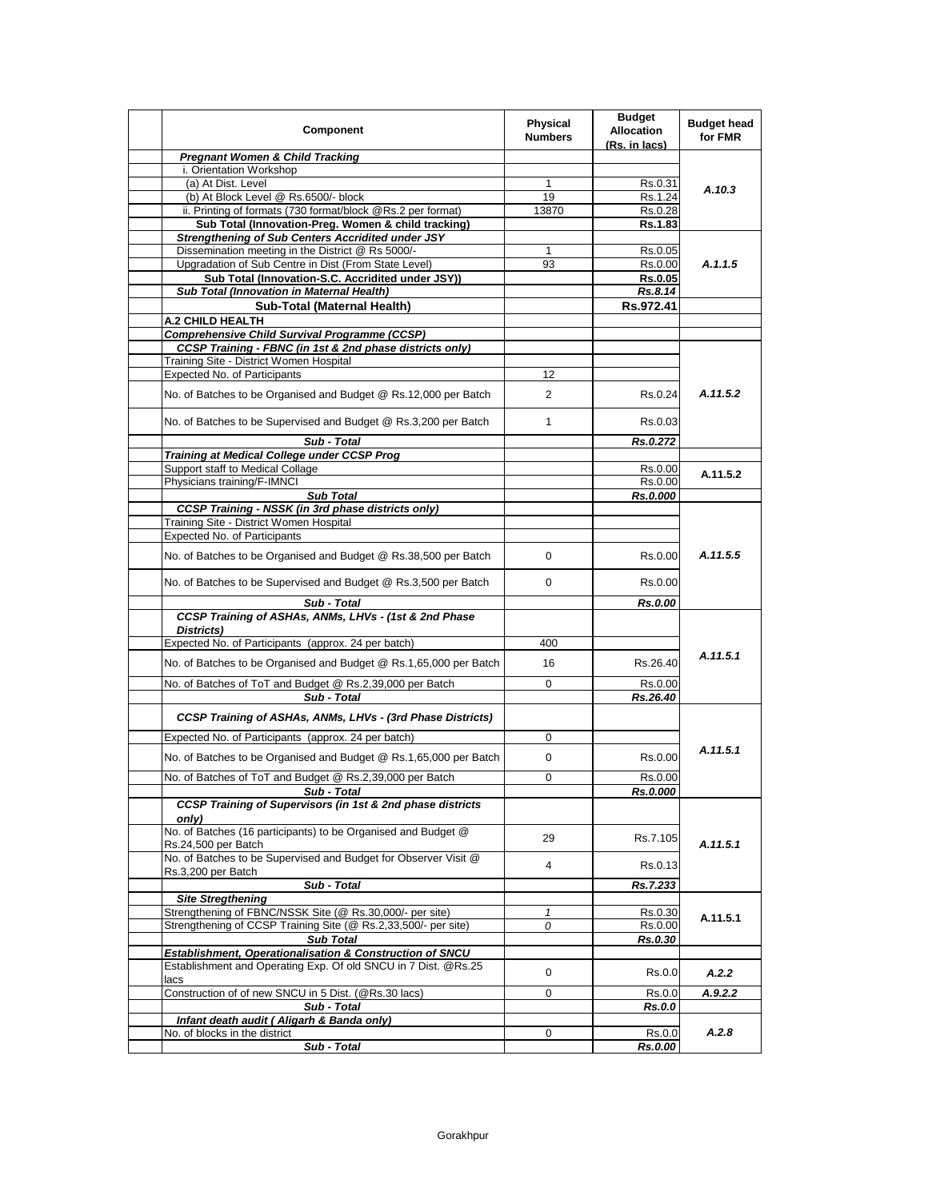| Component                                                                                                                  | <b>Physical</b><br><b>Numbers</b> | <b>Budget</b><br><b>Allocation</b><br>(Rs. in lacs) | <b>Budget head</b><br>for FMR |
|----------------------------------------------------------------------------------------------------------------------------|-----------------------------------|-----------------------------------------------------|-------------------------------|
| <b>Pregnant Women &amp; Child Tracking</b>                                                                                 |                                   |                                                     |                               |
| i. Orientation Workshop                                                                                                    |                                   |                                                     |                               |
| (a) At Dist. Level                                                                                                         | 1                                 | Rs.0.31                                             | A.10.3                        |
| (b) At Block Level @ Rs.6500/- block                                                                                       | 19                                | Rs.1.24                                             |                               |
| ii. Printing of formats (730 format/block @Rs.2 per format)<br>Sub Total (Innovation-Preg. Women & child tracking)         | 13870                             | Rs.0.28<br>Rs.1.83                                  |                               |
| <b>Strengthening of Sub Centers Accridited under JSY</b>                                                                   |                                   |                                                     |                               |
| Dissemination meeting in the District @ Rs 5000/-                                                                          | 1                                 | Rs.0.05                                             |                               |
| Upgradation of Sub Centre in Dist (From State Level)                                                                       | 93                                | Rs.0.00                                             | A.1.1.5                       |
| Sub Total (Innovation-S.C. Accridited under JSY))                                                                          |                                   | <b>Rs.0.05</b>                                      |                               |
| Sub Total (Innovation in Maternal Health)                                                                                  |                                   | Rs.8.14                                             |                               |
| Sub-Total (Maternal Health)                                                                                                |                                   | Rs.972.41                                           |                               |
| <b>A.2 CHILD HEALTH</b>                                                                                                    |                                   |                                                     |                               |
| <b>Comprehensive Child Survival Programme (CCSP)</b>                                                                       |                                   |                                                     |                               |
| CCSP Training - FBNC (in 1st & 2nd phase districts only)                                                                   |                                   |                                                     |                               |
| Training Site - District Women Hospital<br>Expected No. of Participants                                                    | 12                                |                                                     |                               |
|                                                                                                                            |                                   |                                                     |                               |
| No. of Batches to be Organised and Budget @ Rs.12,000 per Batch                                                            | $\overline{2}$                    | Rs.0.24                                             | A.11.5.2                      |
| No. of Batches to be Supervised and Budget @ Rs.3,200 per Batch                                                            | $\mathbf{1}$                      | Rs.0.03                                             |                               |
| Sub - Total<br>Training at Medical College under CCSP Prog                                                                 |                                   | Rs.0.272                                            |                               |
| Support staff to Medical Collage                                                                                           |                                   | Rs.0.00                                             |                               |
| Physicians training/F-IMNCI                                                                                                |                                   | Rs.0.00                                             | A.11.5.2                      |
| <b>Sub Total</b>                                                                                                           |                                   | Rs.0.000                                            |                               |
| <b>CCSP Training - NSSK (in 3rd phase districts only)</b>                                                                  |                                   |                                                     |                               |
| Training Site - District Women Hospital                                                                                    |                                   |                                                     |                               |
| <b>Expected No. of Participants</b>                                                                                        |                                   |                                                     |                               |
| No. of Batches to be Organised and Budget @ Rs.38,500 per Batch                                                            | $\Omega$                          | Rs.0.00                                             | A.11.5.5                      |
| No. of Batches to be Supervised and Budget @ Rs.3,500 per Batch                                                            | $\Omega$                          | Rs.0.00                                             |                               |
| Sub - Total                                                                                                                |                                   | Rs.0.00                                             |                               |
| CCSP Training of ASHAs, ANMs, LHVs - (1st & 2nd Phase<br>Districts)                                                        |                                   |                                                     |                               |
| Expected No. of Participants (approx. 24 per batch)                                                                        | 400                               |                                                     |                               |
| No. of Batches to be Organised and Budget @ Rs.1,65,000 per Batch                                                          | 16                                | Rs.26.40                                            | A.11.5.1                      |
| No. of Batches of ToT and Budget @ Rs.2,39,000 per Batch                                                                   | 0                                 | Rs.0.00                                             |                               |
| Sub - Total                                                                                                                |                                   | Rs.26.40                                            |                               |
| CCSP Training of ASHAs, ANMs, LHVs - (3rd Phase Districts)<br>Expected No. of Participants (approx. 24 per batch)          | 0                                 |                                                     |                               |
| No. of Batches to be Organised and Budget @ Rs.1,65,000 per Batch                                                          | 0                                 | Rs.0.00                                             | A.11.5.1                      |
| No. of Batches of ToT and Budget @ Rs.2,39,000 per Batch                                                                   | 0                                 | Rs.0.00                                             |                               |
| Sub - Total                                                                                                                |                                   | <b>Rs.0.000</b>                                     |                               |
| CCSP Training of Supervisors (in 1st & 2nd phase districts<br>only)                                                        |                                   |                                                     |                               |
| No. of Batches (16 participants) to be Organised and Budget @<br>Rs.24,500 per Batch                                       | 29                                | Rs.7.105                                            | A.11.5.1                      |
| No. of Batches to be Supervised and Budget for Observer Visit @<br>Rs.3,200 per Batch                                      | 4                                 | Rs.0.13                                             |                               |
| Sub - Total                                                                                                                |                                   | Rs.7.233                                            |                               |
| <b>Site Stregthening</b>                                                                                                   |                                   |                                                     |                               |
| Strengthening of FBNC/NSSK Site (@ Rs.30,000/- per site)                                                                   | $\mathbf{1}$                      | Rs.0.30                                             | A.11.5.1                      |
| Strengthening of CCSP Training Site (@ Rs.2,33,500/- per site)                                                             | 0                                 | Rs.0.00                                             |                               |
| <b>Sub Total</b>                                                                                                           |                                   | Rs.0.30                                             |                               |
| Establishment, Operationalisation & Construction of SNCU<br>Establishment and Operating Exp. Of old SNCU in 7 Dist. @Rs.25 |                                   |                                                     |                               |
| lacs                                                                                                                       | 0                                 | Rs.0.0                                              | A.2.2                         |
| Construction of of new SNCU in 5 Dist. (@Rs.30 lacs)                                                                       | 0                                 | Rs.0.0                                              | A.9.2.2                       |
| Sub - Total                                                                                                                |                                   | Rs.0.0                                              |                               |
| Infant death audit ( Aligarh & Banda only)                                                                                 |                                   |                                                     |                               |
| No. of blocks in the district                                                                                              | 0                                 | Rs.0.0                                              | A.2.8                         |
| Sub - Total                                                                                                                |                                   | Rs.0.00                                             |                               |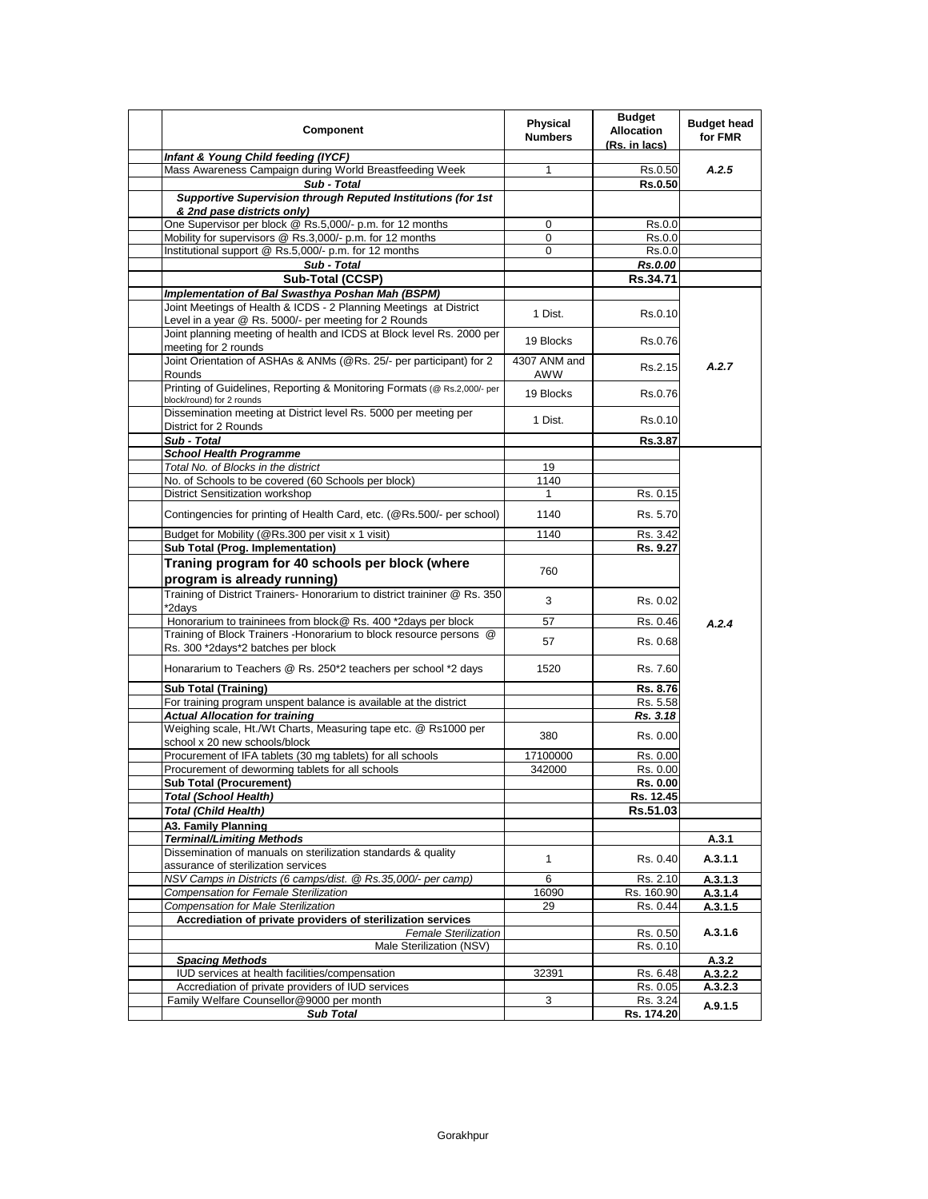| Component                                                                                                                  | <b>Physical</b><br><b>Numbers</b> | <b>Budget</b><br><b>Allocation</b><br>(Rs. in lacs) | <b>Budget head</b><br>for FMR |
|----------------------------------------------------------------------------------------------------------------------------|-----------------------------------|-----------------------------------------------------|-------------------------------|
| Infant & Young Child feeding (IYCF)                                                                                        |                                   |                                                     |                               |
| Mass Awareness Campaign during World Breastfeeding Week                                                                    | 1                                 | Rs.0.50                                             | A.2.5                         |
| Sub - Total                                                                                                                |                                   | <b>Rs.0.50</b>                                      |                               |
| Supportive Supervision through Reputed Institutions (for 1st<br>& 2nd pase districts only)                                 |                                   |                                                     |                               |
| One Supervisor per block @ Rs.5,000/- p.m. for 12 months                                                                   | 0                                 | Rs.0.0                                              |                               |
| Mobility for supervisors @ Rs.3,000/- p.m. for 12 months                                                                   | 0                                 | Rs.0.0                                              |                               |
| Institutional support @ Rs.5,000/- p.m. for 12 months                                                                      | 0                                 | Rs.0.0                                              |                               |
| Sub - Total                                                                                                                |                                   | Rs.0.00                                             |                               |
| Sub-Total (CCSP)                                                                                                           |                                   | Rs.34.71                                            |                               |
| Implementation of Bal Swasthya Poshan Mah (BSPM)                                                                           |                                   |                                                     |                               |
| Joint Meetings of Health & ICDS - 2 Planning Meetings at District<br>Level in a year @ Rs. 5000/- per meeting for 2 Rounds | 1 Dist.                           | Rs.0.10                                             |                               |
| Joint planning meeting of health and ICDS at Block level Rs. 2000 per<br>meeting for 2 rounds                              | 19 Blocks                         | Rs.0.76                                             |                               |
| Joint Orientation of ASHAs & ANMs (@Rs. 25/- per participant) for 2<br>Rounds                                              | 4307 ANM and<br>AWW               | Rs.2.15                                             | A.2.7                         |
| Printing of Guidelines, Reporting & Monitoring Formats (@ Rs.2,000/- per<br>block/round) for 2 rounds                      | 19 Blocks                         | Rs.0.76                                             |                               |
| Dissemination meeting at District level Rs. 5000 per meeting per<br>District for 2 Rounds                                  | 1 Dist.                           | Rs.0.10                                             |                               |
| Sub - Total                                                                                                                |                                   | Rs.3.87                                             |                               |
| <b>School Health Programme</b>                                                                                             |                                   |                                                     |                               |
| Total No. of Blocks in the district                                                                                        | 19                                |                                                     |                               |
| No. of Schools to be covered (60 Schools per block)                                                                        | 1140                              |                                                     |                               |
| District Sensitization workshop                                                                                            | 1                                 | Rs. 0.15                                            |                               |
| Contingencies for printing of Health Card, etc. (@Rs.500/- per school)                                                     | 1140                              | Rs. 5.70                                            |                               |
| Budget for Mobility (@Rs.300 per visit x 1 visit)                                                                          | 1140                              | Rs. 3.42                                            |                               |
| Sub Total (Prog. Implementation)                                                                                           |                                   | Rs. 9.27                                            |                               |
| Traning program for 40 schools per block (where                                                                            |                                   |                                                     |                               |
|                                                                                                                            | 760                               |                                                     |                               |
| program is already running)                                                                                                |                                   |                                                     |                               |
| Training of District Trainers- Honorarium to district traininer @ Rs. 350<br>*2days                                        | 3                                 | Rs. 0.02                                            |                               |
| Honorarium to traininees from block@ Rs. 400 *2days per block                                                              | 57                                | Rs. 0.46                                            | A.2.4                         |
| Training of Block Trainers - Honorarium to block resource persons @<br>Rs. 300 *2days*2 batches per block                  | 57                                | Rs. 0.68                                            |                               |
| Honararium to Teachers @ Rs. 250*2 teachers per school *2 days                                                             | 1520                              | Rs. 7.60                                            |                               |
| <b>Sub Total (Training)</b>                                                                                                |                                   | Rs. 8.76                                            |                               |
| For training program unspent balance is available at the district                                                          |                                   | Rs. 5.58                                            |                               |
| <b>Actual Allocation for training</b>                                                                                      |                                   | Rs. 3.18                                            |                               |
| Weighing scale, Ht./Wt Charts, Measuring tape etc. @ Rs1000 per<br>school x 20 new schools/block                           | 380                               | Rs. 0.00                                            |                               |
| Procurement of IFA tablets (30 mg tablets) for all schools                                                                 | 17100000                          | Rs. 0.00                                            |                               |
| Procurement of deworming tablets for all schools                                                                           | 342000                            | Rs. 0.00                                            |                               |
| <b>Sub Total (Procurement)</b>                                                                                             |                                   | Rs. 0.00                                            |                               |
| <b>Total (School Health)</b>                                                                                               |                                   | Rs. 12.45                                           |                               |
| <b>Total (Child Health)</b>                                                                                                |                                   | Rs.51.03                                            |                               |
|                                                                                                                            |                                   |                                                     |                               |
| A3. Family Planning<br><b>Terminal/Limiting Methods</b>                                                                    |                                   |                                                     | A.3.1                         |
| Dissemination of manuals on sterilization standards & quality                                                              |                                   |                                                     |                               |
| assurance of sterilization services                                                                                        | $\mathbf{1}$                      | Rs. 0.40                                            | A.3.1.1                       |
| NSV Camps in Districts (6 camps/dist. @ Rs.35,000/- per camp)                                                              | 6                                 | Rs. 2.10                                            | A.3.1.3                       |
| Compensation for Female Sterilization                                                                                      | 16090                             | Rs. 160.90                                          | A.3.1.4                       |
| <b>Compensation for Male Sterilization</b>                                                                                 | 29                                | Rs. 0.44                                            | A.3.1.5                       |
| Accrediation of private providers of sterilization services                                                                |                                   |                                                     |                               |
| <b>Female Sterilization</b>                                                                                                |                                   | Rs. 0.50                                            | A.3.1.6                       |
| Male Sterilization (NSV)                                                                                                   |                                   | Rs. 0.10                                            |                               |
| <b>Spacing Methods</b>                                                                                                     |                                   |                                                     | A.3.2                         |
| IUD services at health facilities/compensation                                                                             | 32391                             | Rs. 6.48                                            | A.3.2.2                       |
| Accrediation of private providers of IUD services                                                                          |                                   | Rs. 0.05                                            | A.3.2.3                       |
| Family Welfare Counsellor@9000 per month                                                                                   | 3                                 | Rs. 3.24                                            | A.9.1.5                       |
| <b>Sub Total</b>                                                                                                           |                                   | Rs. 174.20                                          |                               |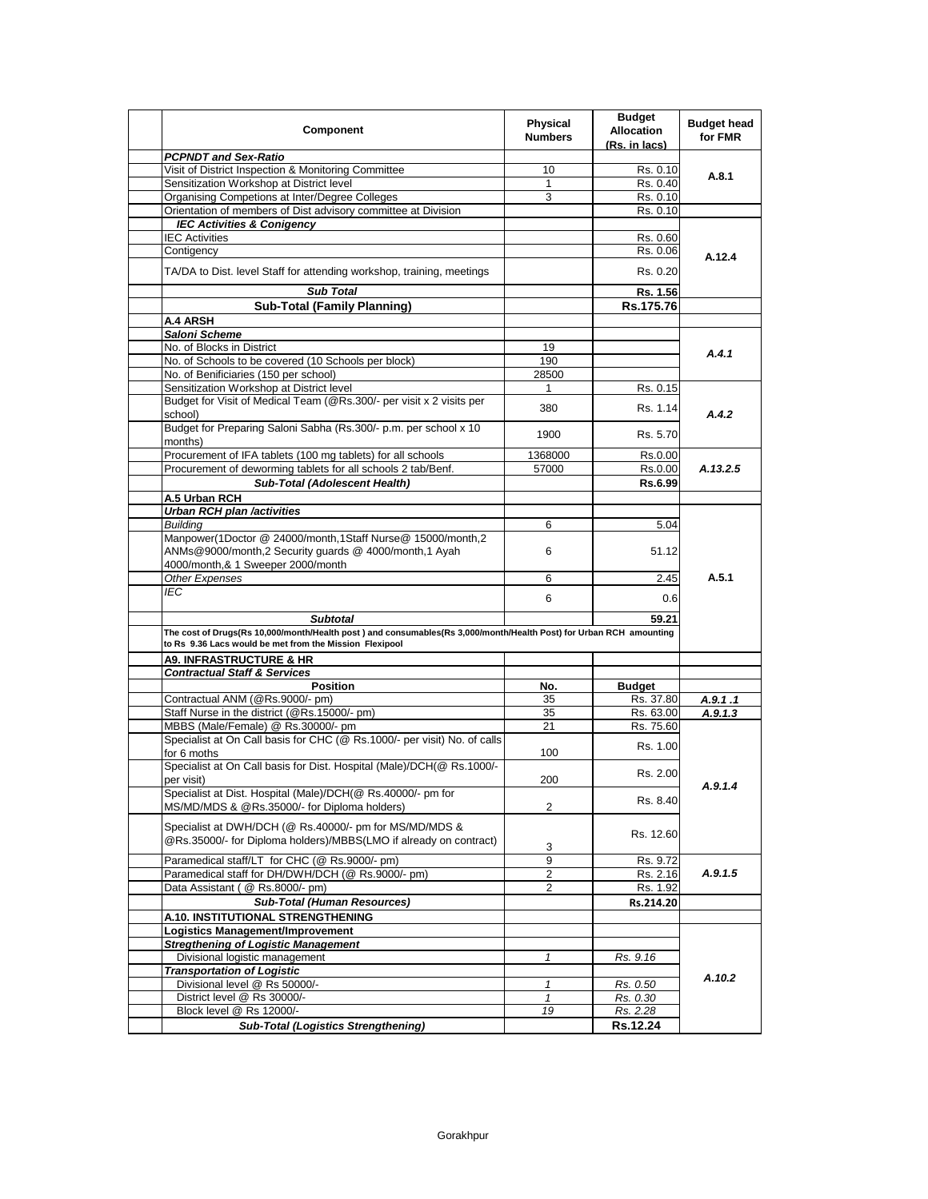| Component                                                                                                                                                                     | <b>Physical</b><br><b>Numbers</b> | <b>Budget</b><br><b>Allocation</b><br>(Rs. in lacs) | <b>Budget head</b><br>for FMR |
|-------------------------------------------------------------------------------------------------------------------------------------------------------------------------------|-----------------------------------|-----------------------------------------------------|-------------------------------|
| <b>PCPNDT and Sex-Ratio</b>                                                                                                                                                   |                                   |                                                     |                               |
| Visit of District Inspection & Monitoring Committee                                                                                                                           | 10                                | Rs. 0.10                                            | A.8.1                         |
| Sensitization Workshop at District level                                                                                                                                      | 1                                 | Rs. 0.40                                            |                               |
| Organising Competions at Inter/Degree Colleges                                                                                                                                | 3                                 | Rs. 0.10                                            |                               |
| Orientation of members of Dist advisory committee at Division                                                                                                                 |                                   | Rs. 0.10                                            |                               |
| <b>IEC Activities &amp; Conigency</b>                                                                                                                                         |                                   |                                                     |                               |
| <b>IEC Activities</b>                                                                                                                                                         |                                   | Rs. 0.60                                            |                               |
| Contigency                                                                                                                                                                    |                                   | Rs. 0.06                                            | A.12.4                        |
| TA/DA to Dist. level Staff for attending workshop, training, meetings                                                                                                         |                                   | Rs. 0.20                                            |                               |
| <b>Sub Total</b>                                                                                                                                                              |                                   | Rs. 1.56                                            |                               |
| <b>Sub-Total (Family Planning)</b>                                                                                                                                            |                                   | Rs.175.76                                           |                               |
| A.4 ARSH                                                                                                                                                                      |                                   |                                                     |                               |
| Saloni Scheme                                                                                                                                                                 |                                   |                                                     |                               |
| No. of Blocks in District                                                                                                                                                     | 19                                |                                                     |                               |
| No. of Schools to be covered (10 Schools per block)                                                                                                                           | 190                               |                                                     | A.4.1                         |
| No. of Benificiaries (150 per school)                                                                                                                                         | 28500                             |                                                     |                               |
| Sensitization Workshop at District level                                                                                                                                      | $\mathbf{1}$                      | Rs. 0.15                                            |                               |
| Budget for Visit of Medical Team (@Rs.300/- per visit x 2 visits per                                                                                                          |                                   |                                                     |                               |
| school)<br>Budget for Preparing Saloni Sabha (Rs.300/- p.m. per school x 10                                                                                                   | 380                               | Rs. 1.14                                            | A.4.2                         |
| months)                                                                                                                                                                       | 1900                              | Rs. 5.70                                            |                               |
| Procurement of IFA tablets (100 mg tablets) for all schools                                                                                                                   | 1368000                           | Rs.0.00                                             |                               |
| Procurement of deworming tablets for all schools 2 tab/Benf.                                                                                                                  | 57000                             | Rs.0.00                                             | A.13.2.5                      |
| Sub-Total (Adolescent Health)                                                                                                                                                 |                                   | Rs.6.99                                             |                               |
| A.5 Urban RCH                                                                                                                                                                 |                                   |                                                     |                               |
| <b>Urban RCH plan /activities</b>                                                                                                                                             |                                   |                                                     |                               |
| <b>Building</b>                                                                                                                                                               | 6                                 | 5.04                                                |                               |
| Manpower(1Doctor @ 24000/month,1Staff Nurse@ 15000/month,2<br>ANMs@9000/month,2 Security guards @ 4000/month,1 Ayah                                                           | 6                                 | 51.12                                               |                               |
| 4000/month,& 1 Sweeper 2000/month                                                                                                                                             |                                   |                                                     |                               |
| Other Expenses                                                                                                                                                                | 6                                 | 2.45                                                | A.5.1                         |
| <b>IEC</b>                                                                                                                                                                    | 6                                 | 0.6                                                 |                               |
|                                                                                                                                                                               |                                   |                                                     |                               |
| <b>Subtotal</b>                                                                                                                                                               |                                   | 59.21                                               |                               |
| The cost of Drugs(Rs 10,000/month/Health post) and consumables(Rs 3,000/month/Health Post) for Urban RCH amounting<br>to Rs 9.36 Lacs would be met from the Mission Flexipool |                                   |                                                     |                               |
| <b>A9. INFRASTRUCTURE &amp; HR</b>                                                                                                                                            |                                   |                                                     |                               |
| <b>Contractual Staff &amp; Services</b>                                                                                                                                       |                                   |                                                     |                               |
| <b>Position</b>                                                                                                                                                               | No.                               | <b>Budget</b>                                       |                               |
| Contractual ANM (@Rs.9000/- pm)                                                                                                                                               | 35                                | Rs. 37.80                                           | A.9.1.1                       |
| Staff Nurse in the district (@Rs.15000/- pm)                                                                                                                                  | 35                                | Rs. 63.00                                           | A.9.1.3                       |
| MBBS (Male/Female) @ Rs.30000/- pm                                                                                                                                            | 21                                | Rs. 75.60                                           |                               |
| Specialist at On Call basis for CHC (@ Rs.1000/- per visit) No. of calls<br>for 6 moths                                                                                       | 100                               | Rs. 1.00                                            |                               |
| Specialist at On Call basis for Dist. Hospital (Male)/DCH(@ Rs.1000/-<br>per visit)                                                                                           | 200                               | Rs. 2.00                                            | A.9.1.4                       |
| Specialist at Dist. Hospital (Male)/DCH(@ Rs.40000/- pm for<br>MS/MD/MDS & @Rs.35000/- for Diploma holders)                                                                   | 2                                 | Rs. 8.40                                            |                               |
| Specialist at DWH/DCH (@ Rs.40000/- pm for MS/MD/MDS &<br>@Rs.35000/- for Diploma holders)/MBBS(LMO if already on contract)                                                   | 3                                 | Rs. 12.60                                           |                               |
| Paramedical staff/LT for CHC (@ Rs.9000/- pm)                                                                                                                                 | 9                                 | Rs. 9.72                                            |                               |
| Paramedical staff for DH/DWH/DCH (@ Rs.9000/- pm)                                                                                                                             | 2                                 | Rs. 2.16                                            | A.9.1.5                       |
| Data Assistant (@ Rs.8000/- pm)                                                                                                                                               | 2                                 | Rs. 1.92                                            |                               |
| <b>Sub-Total (Human Resources)</b>                                                                                                                                            |                                   | Rs.214.20                                           |                               |
| A.10. INSTITUTIONAL STRENGTHENING                                                                                                                                             |                                   |                                                     |                               |
| Logistics Management/Improvement                                                                                                                                              |                                   |                                                     |                               |
| <b>Stregthening of Logistic Management</b>                                                                                                                                    |                                   |                                                     |                               |
| Divisional logistic management                                                                                                                                                | $\mathbf{1}$                      | Rs. 9.16                                            |                               |
| <b>Transportation of Logistic</b>                                                                                                                                             |                                   |                                                     |                               |
| Divisional level @ Rs 50000/-                                                                                                                                                 | 1                                 | Rs. 0.50                                            | A.10.2                        |
| District level @ Rs 30000/-                                                                                                                                                   | 1                                 | Rs. 0.30                                            |                               |
| Block level @ Rs 12000/-                                                                                                                                                      | 19                                | Rs. 2.28                                            |                               |
|                                                                                                                                                                               |                                   |                                                     |                               |
| <b>Sub-Total (Logistics Strengthening)</b>                                                                                                                                    |                                   | Rs.12.24                                            |                               |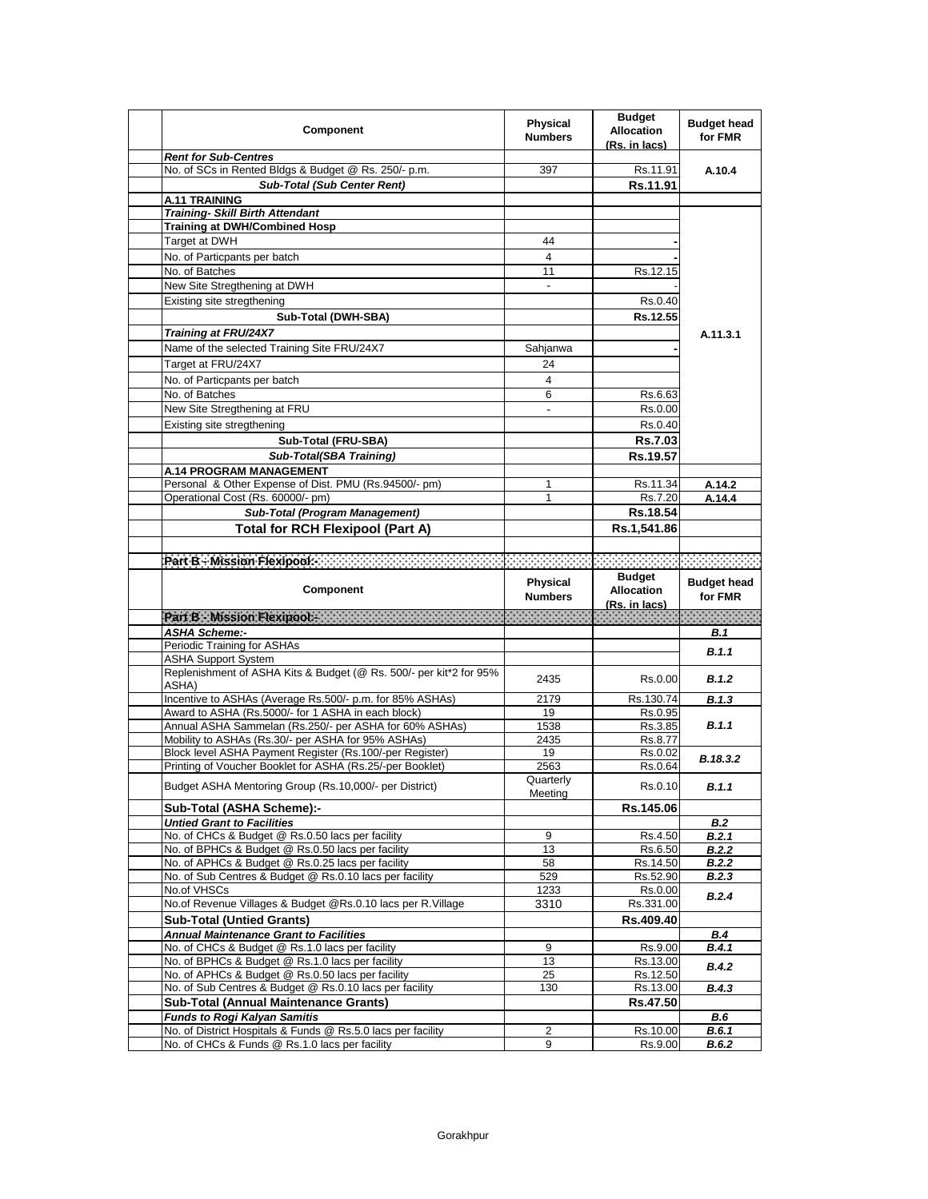| Component                                                                                           | <b>Physical</b><br><b>Numbers</b> | <b>Budget</b><br><b>Allocation</b><br><u>(Rs. in lacs)</u> | <b>Budget head</b><br>for FMR |
|-----------------------------------------------------------------------------------------------------|-----------------------------------|------------------------------------------------------------|-------------------------------|
| <b>Rent for Sub-Centres</b>                                                                         |                                   |                                                            |                               |
| No. of SCs in Rented Bldgs & Budget @ Rs. 250/- p.m.                                                | 397                               | Rs.11.91                                                   | A.10.4                        |
| <b>Sub-Total (Sub Center Rent)</b>                                                                  |                                   | Rs.11.91                                                   |                               |
| <b>A.11 TRAINING</b>                                                                                |                                   |                                                            |                               |
| <b>Training- Skill Birth Attendant</b>                                                              |                                   |                                                            |                               |
| <b>Training at DWH/Combined Hosp</b>                                                                |                                   |                                                            |                               |
| Target at DWH                                                                                       | 44                                |                                                            |                               |
| No. of Particpants per batch                                                                        | 4                                 |                                                            |                               |
| No. of Batches                                                                                      | 11                                | Rs.12.15                                                   |                               |
| New Site Stregthening at DWH                                                                        | $\blacksquare$                    |                                                            |                               |
| Existing site stregthening                                                                          |                                   | Rs.0.40                                                    |                               |
| Sub-Total (DWH-SBA)                                                                                 |                                   | Rs.12.55                                                   |                               |
| <b>Training at FRU/24X7</b>                                                                         |                                   |                                                            | A.11.3.1                      |
| Name of the selected Training Site FRU/24X7                                                         | Sahjanwa                          |                                                            |                               |
| Target at FRU/24X7                                                                                  | 24                                |                                                            |                               |
| No. of Particpants per batch                                                                        | 4                                 |                                                            |                               |
| No. of Batches                                                                                      | 6                                 | Rs.6.63                                                    |                               |
| New Site Stregthening at FRU                                                                        | $\blacksquare$                    | Rs.0.00                                                    |                               |
| Existing site stregthening                                                                          |                                   | Rs.0.40                                                    |                               |
|                                                                                                     |                                   |                                                            |                               |
| Sub-Total (FRU-SBA)                                                                                 |                                   | <b>Rs.7.03</b>                                             |                               |
| Sub-Total(SBA Training)                                                                             |                                   | Rs.19.57                                                   |                               |
| A.14 PROGRAM MANAGEMENT                                                                             |                                   |                                                            |                               |
| Personal & Other Expense of Dist. PMU (Rs.94500/- pm)                                               | 1                                 | Rs.11.34                                                   | A.14.2                        |
| Operational Cost (Rs. 60000/- pm)                                                                   | 1                                 | Rs.7.20                                                    | A.14.4                        |
| Sub-Total (Program Management)                                                                      |                                   | Rs.18.54                                                   |                               |
| <b>Total for RCH Flexipool (Part A)</b>                                                             |                                   | Rs.1,541.86                                                |                               |
|                                                                                                     |                                   |                                                            |                               |
| Part B - Mission Flexipools - An and a contract of the contract of the contract of the contract of  |                                   |                                                            |                               |
|                                                                                                     | Physical                          | <b>Budget</b>                                              | <b>Budget head</b>            |
|                                                                                                     |                                   |                                                            |                               |
| Component                                                                                           | <b>Numbers</b>                    | <b>Allocation</b>                                          | for FMR                       |
|                                                                                                     |                                   | <u>(Rs. in lacs)</u>                                       |                               |
| Part B - Mission Flexipools (2009) (2009) (2009) (2009)<br><b>ASHA Scheme:-</b>                     |                                   |                                                            | B. 1                          |
| Periodic Training for ASHAs                                                                         |                                   |                                                            |                               |
| <b>ASHA Support System</b>                                                                          |                                   |                                                            | B.1.1                         |
| Replenishment of ASHA Kits & Budget (@ Rs. 500/- per kit*2 for 95%                                  |                                   |                                                            |                               |
| ASHA)                                                                                               | 2435                              | Rs.0.00                                                    | B.1.2                         |
| Incentive to ASHAs (Average Rs.500/- p.m. for 85% ASHAs)                                            | 2179                              | Rs.130.74                                                  | B.1.3                         |
| Award to ASHA (Rs.5000/- for 1 ASHA in each block)                                                  | 19                                | Rs.0.95                                                    |                               |
| Annual ASHA Sammelan (Rs.250/- per ASHA for 60% ASHAs)                                              | 1538                              | Rs.3.85                                                    | B.1.1                         |
| Mobility to ASHAs (Rs.30/- per ASHA for 95% ASHAs)                                                  | 2435                              | Rs.8.77                                                    |                               |
| Block level ASHA Payment Register (Rs.100/-per Register)                                            | 19                                | Rs.0.02                                                    | B.18.3.2                      |
| Printing of Voucher Booklet for ASHA (Rs.25/-per Booklet)                                           | 2563                              | Rs.0.64                                                    |                               |
| Budget ASHA Mentoring Group (Rs.10,000/- per District)                                              | Quarterly<br>Meeting              | Rs.0.10                                                    | B.1.1                         |
| Sub-Total (ASHA Scheme):-                                                                           |                                   | Rs.145.06                                                  |                               |
| <b>Untied Grant to Facilities</b>                                                                   |                                   |                                                            | <b>B.2</b>                    |
| No. of CHCs & Budget @ Rs.0.50 lacs per facility                                                    | 9                                 | Rs.4.50                                                    | <b>B.2.1</b>                  |
| No. of BPHCs & Budget @ Rs.0.50 lacs per facility                                                   | 13                                | Rs.6.50                                                    | B.2.2                         |
| No. of APHCs & Budget @ Rs.0.25 lacs per facility                                                   | 58                                | Rs.14.50                                                   | <b>B.2.2</b>                  |
| No. of Sub Centres & Budget @ Rs.0.10 lacs per facility                                             | 529                               | Rs.52.90                                                   | B.2.3                         |
| No.of VHSCs                                                                                         | 1233                              | Rs.0.00                                                    | B.2.4                         |
| No.of Revenue Villages & Budget @Rs.0.10 lacs per R.Village                                         | 3310                              | Rs.331.00                                                  |                               |
| <b>Sub-Total (Untied Grants)</b>                                                                    |                                   | Rs.409.40                                                  |                               |
| <b>Annual Maintenance Grant to Facilities</b>                                                       |                                   |                                                            | <b>B.4</b>                    |
| No. of CHCs & Budget @ Rs.1.0 lacs per facility                                                     | 9                                 | Rs.9.00                                                    | B.4.1                         |
| No. of BPHCs & Budget @ Rs.1.0 lacs per facility                                                    | 13                                | Rs.13.00                                                   | B.4.2                         |
| No. of APHCs & Budget @ Rs.0.50 lacs per facility                                                   | 25                                | Rs.12.50                                                   |                               |
| No. of Sub Centres & Budget @ Rs.0.10 lacs per facility                                             | 130                               | Rs.13.00                                                   | B.4.3                         |
| <b>Sub-Total (Annual Maintenance Grants)</b>                                                        |                                   | Rs.47.50                                                   |                               |
| <b>Funds to Rogi Kalyan Samitis</b><br>No. of District Hospitals & Funds @ Rs.5.0 lacs per facility | 2                                 | Rs.10.00                                                   | <b>B.6</b><br>B.6.1           |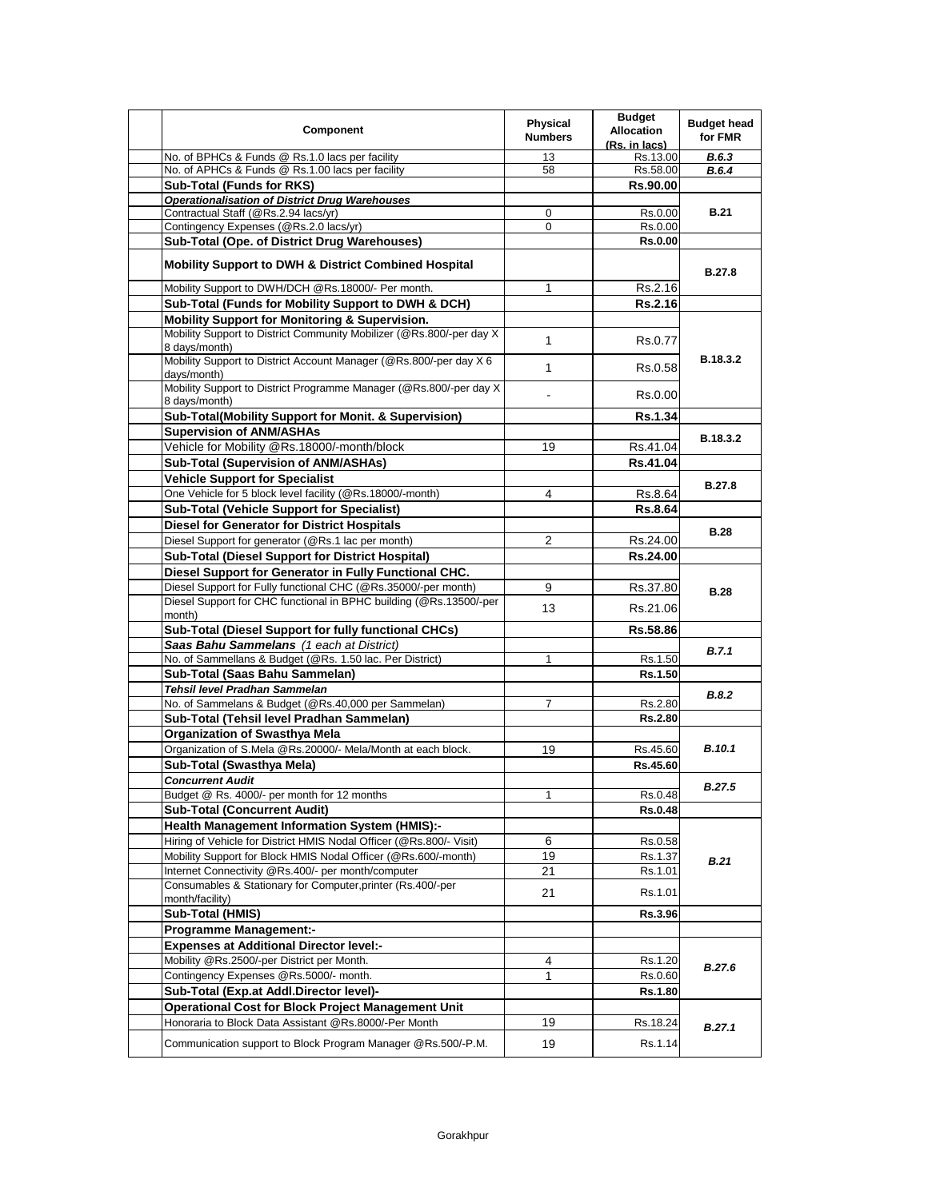| Component                                                                                                                                          | <b>Physical</b><br><b>Numbers</b> | <b>Budget</b><br><b>Allocation</b><br>(Rs. in lacs) | <b>Budget head</b><br>for FMR |
|----------------------------------------------------------------------------------------------------------------------------------------------------|-----------------------------------|-----------------------------------------------------|-------------------------------|
| No. of BPHCs & Funds @ Rs.1.0 lacs per facility                                                                                                    | 13                                | Rs.13.00                                            | B.6.3                         |
| No. of APHCs & Funds @ Rs.1.00 lacs per facility                                                                                                   | 58                                | Rs.58.00                                            | B.6.4                         |
| <b>Sub-Total (Funds for RKS)</b>                                                                                                                   |                                   | Rs.90.00                                            |                               |
| <b>Operationalisation of District Drug Warehouses</b>                                                                                              |                                   |                                                     |                               |
| Contractual Staff (@Rs.2.94 lacs/yr)                                                                                                               | 0                                 | Rs.0.00                                             | <b>B.21</b>                   |
| Contingency Expenses (@Rs.2.0 lacs/yr)                                                                                                             | 0                                 | Rs.0.00                                             |                               |
| Sub-Total (Ope. of District Drug Warehouses)                                                                                                       |                                   | <b>Rs.0.00</b>                                      |                               |
| Mobility Support to DWH & District Combined Hospital                                                                                               |                                   |                                                     | <b>B.27.8</b>                 |
| Mobility Support to DWH/DCH @Rs.18000/- Per month.                                                                                                 | 1                                 | Rs.2.16                                             |                               |
| Sub-Total (Funds for Mobility Support to DWH & DCH)                                                                                                |                                   | Rs.2.16                                             |                               |
| <b>Mobility Support for Monitoring &amp; Supervision.</b><br>Mobility Support to District Community Mobilizer (@Rs.800/-per day X<br>8 days/month) | $\mathbf{1}$                      | Rs.0.77                                             |                               |
| Mobility Support to District Account Manager (@Rs.800/-per day X 6<br>days/month)                                                                  | $\mathbf{1}$                      | Rs.0.58                                             | B.18.3.2                      |
| Mobility Support to District Programme Manager (@Rs.800/-per day X<br>8 days/month)                                                                |                                   | Rs.0.00                                             |                               |
| Sub-Total(Mobility Support for Monit. & Supervision)                                                                                               |                                   | <b>Rs.1.34</b>                                      |                               |
| <b>Supervision of ANM/ASHAs</b>                                                                                                                    |                                   |                                                     |                               |
| Vehicle for Mobility @Rs.18000/-month/block                                                                                                        | 19                                | Rs.41.04                                            | B.18.3.2                      |
| Sub-Total (Supervision of ANM/ASHAs)                                                                                                               |                                   | Rs.41.04                                            |                               |
| <b>Vehicle Support for Specialist</b>                                                                                                              |                                   |                                                     |                               |
| One Vehicle for 5 block level facility (@Rs.18000/-month)                                                                                          | 4                                 | Rs.8.64                                             | <b>B.27.8</b>                 |
| <b>Sub-Total (Vehicle Support for Specialist)</b>                                                                                                  |                                   | <b>Rs.8.64</b>                                      |                               |
| <b>Diesel for Generator for District Hospitals</b>                                                                                                 |                                   |                                                     |                               |
| Diesel Support for generator (@Rs.1 lac per month)                                                                                                 | 2                                 | Rs.24.00                                            | <b>B.28</b>                   |
| Sub-Total (Diesel Support for District Hospital)                                                                                                   |                                   |                                                     |                               |
|                                                                                                                                                    |                                   | <b>Rs.24.00</b>                                     |                               |
| Diesel Support for Generator in Fully Functional CHC.                                                                                              |                                   |                                                     |                               |
| Diesel Support for Fully functional CHC (@Rs.35000/-per month)                                                                                     | 9                                 | Rs.37.80                                            | <b>B.28</b>                   |
| Diesel Support for CHC functional in BPHC building (@Rs.13500/-per<br>month)                                                                       | 13                                | Rs.21.06                                            |                               |
| Sub-Total (Diesel Support for fully functional CHCs)                                                                                               |                                   | Rs.58.86                                            |                               |
| Saas Bahu Sammelans (1 each at District)                                                                                                           |                                   |                                                     | B.7.1                         |
| No. of Sammellans & Budget (@Rs. 1.50 lac. Per District)                                                                                           | 1                                 | Rs.1.50                                             |                               |
| Sub-Total (Saas Bahu Sammelan)                                                                                                                     |                                   | Rs.1.50                                             |                               |
| Tehsil level Pradhan Sammelan                                                                                                                      |                                   |                                                     | B.8.2                         |
| No. of Sammelans & Budget (@Rs.40,000 per Sammelan)                                                                                                | $\overline{7}$                    | Rs.2.80                                             |                               |
| Sub-Total (Tehsil level Pradhan Sammelan)                                                                                                          |                                   | <b>Rs.2.80</b>                                      |                               |
| <b>Organization of Swasthya Mela</b>                                                                                                               |                                   |                                                     |                               |
| Organization of S.Mela @Rs.20000/- Mela/Month at each block.                                                                                       | 19                                | Rs.45.60                                            | B.10.1                        |
| Sub-Total (Swasthya Mela)                                                                                                                          |                                   | Rs.45.60                                            |                               |
| <b>Concurrent Audit</b>                                                                                                                            |                                   |                                                     | B.27.5                        |
| Budget @ Rs. 4000/- per month for 12 months                                                                                                        | 1                                 | Rs.0.48                                             |                               |
| <b>Sub-Total (Concurrent Audit)</b>                                                                                                                |                                   | <b>Rs.0.48</b>                                      |                               |
| <b>Health Management Information System (HMIS):-</b>                                                                                               |                                   |                                                     |                               |
| Hiring of Vehicle for District HMIS Nodal Officer (@Rs.800/- Visit)                                                                                | 6                                 | Rs.0.58                                             |                               |
| Mobility Support for Block HMIS Nodal Officer (@Rs.600/-month)                                                                                     | 19                                | Rs.1.37                                             | <b>B.21</b>                   |
| Internet Connectivity @Rs.400/- per month/computer                                                                                                 | 21                                | Rs.1.01                                             |                               |
| Consumables & Stationary for Computer, printer (Rs.400/-per<br>month/facility)                                                                     | 21                                | Rs.1.01                                             |                               |
| Sub-Total (HMIS)                                                                                                                                   |                                   | Rs.3.96                                             |                               |
| <b>Programme Management:-</b>                                                                                                                      |                                   |                                                     |                               |
| <b>Expenses at Additional Director level:-</b>                                                                                                     |                                   |                                                     |                               |
| Mobility @Rs.2500/-per District per Month.                                                                                                         | 4                                 | Rs.1.20                                             |                               |
| Contingency Expenses @Rs.5000/- month.                                                                                                             | 1                                 | Rs.0.60                                             | B.27.6                        |
| Sub-Total (Exp.at Addl.Director level)-                                                                                                            |                                   | Rs.1.80                                             |                               |
| <b>Operational Cost for Block Project Management Unit</b>                                                                                          |                                   |                                                     |                               |
| Honoraria to Block Data Assistant @Rs.8000/-Per Month                                                                                              | 19                                | Rs.18.24                                            |                               |
|                                                                                                                                                    |                                   |                                                     | B.27.1                        |
| Communication support to Block Program Manager @Rs.500/-P.M.                                                                                       | 19                                | Rs.1.14                                             |                               |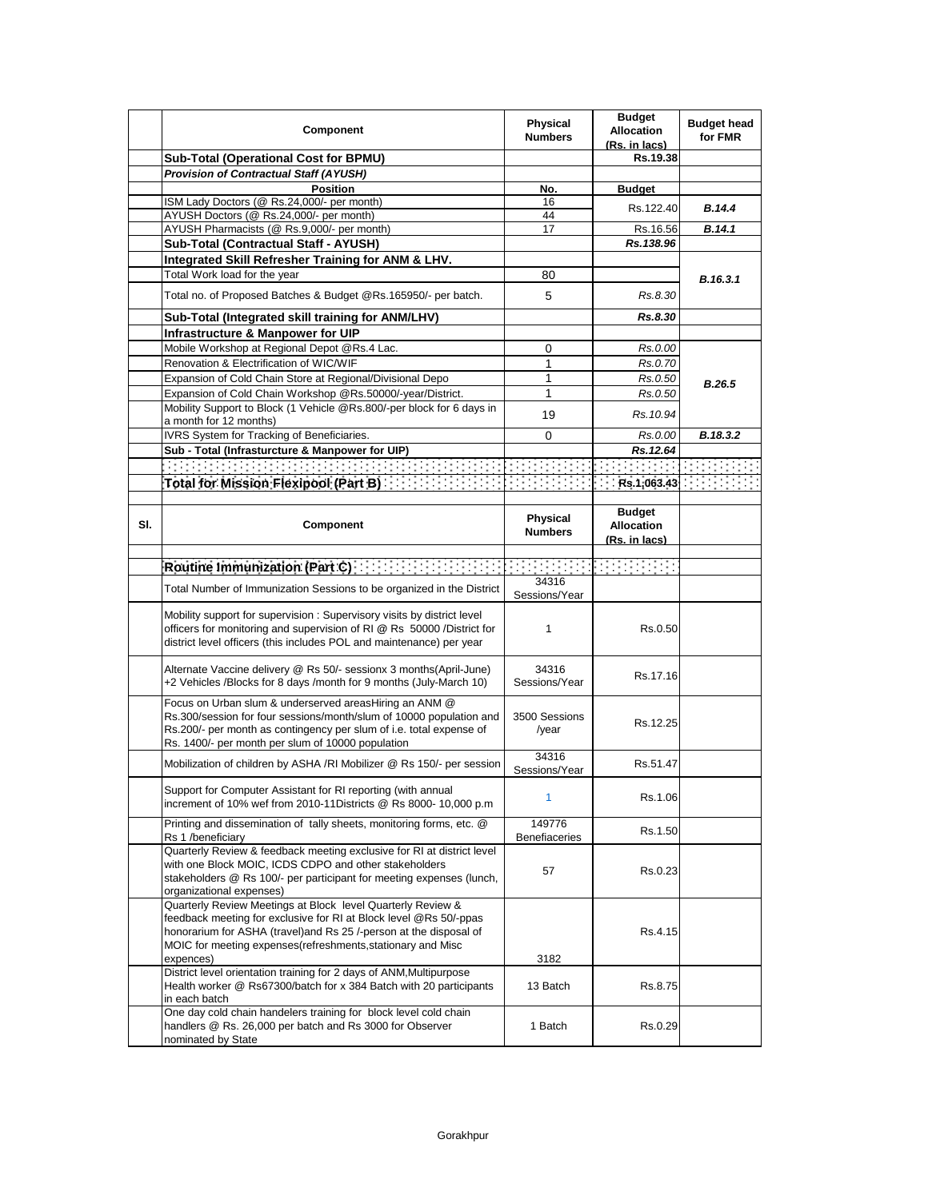|     | Component                                                                                                                                                                                                                                                                          | Physical<br><b>Numbers</b> | <b>Budget</b><br><b>Allocation</b><br>(Rs. in lacs) | <b>Budget head</b><br>for FMR |
|-----|------------------------------------------------------------------------------------------------------------------------------------------------------------------------------------------------------------------------------------------------------------------------------------|----------------------------|-----------------------------------------------------|-------------------------------|
|     | Sub-Total (Operational Cost for BPMU)                                                                                                                                                                                                                                              |                            | Rs.19.38                                            |                               |
|     | <b>Provision of Contractual Staff (AYUSH)</b>                                                                                                                                                                                                                                      |                            |                                                     |                               |
|     | <b>Position</b>                                                                                                                                                                                                                                                                    | No.                        | <b>Budget</b>                                       |                               |
|     | ISM Lady Doctors (@ Rs.24,000/- per month)                                                                                                                                                                                                                                         | 16                         | Rs.122.40                                           | <b>B.14.4</b>                 |
|     | AYUSH Doctors (@ Rs.24,000/- per month)                                                                                                                                                                                                                                            | 44                         |                                                     |                               |
|     | AYUSH Pharmacists (@ Rs.9,000/- per month)                                                                                                                                                                                                                                         | 17                         | Rs.16.56                                            | B.14.1                        |
|     | Sub-Total (Contractual Staff - AYUSH)                                                                                                                                                                                                                                              |                            | Rs.138.96                                           |                               |
|     | Integrated Skill Refresher Training for ANM & LHV.                                                                                                                                                                                                                                 |                            |                                                     |                               |
|     | Total Work load for the year                                                                                                                                                                                                                                                       | 80                         |                                                     | B.16.3.1                      |
|     | Total no. of Proposed Batches & Budget @Rs.165950/- per batch.                                                                                                                                                                                                                     | 5                          | Rs.8.30                                             |                               |
|     | Sub-Total (Integrated skill training for ANM/LHV)                                                                                                                                                                                                                                  |                            | Rs.8.30                                             |                               |
|     | Infrastructure & Manpower for UIP                                                                                                                                                                                                                                                  |                            |                                                     |                               |
|     | Mobile Workshop at Regional Depot @Rs.4 Lac.                                                                                                                                                                                                                                       | 0                          | Rs.0.00                                             |                               |
|     | Renovation & Electrification of WIC/WIF                                                                                                                                                                                                                                            | 1                          | Rs.0.70                                             |                               |
|     | Expansion of Cold Chain Store at Regional/Divisional Depo                                                                                                                                                                                                                          | 1                          | Rs.0.50                                             |                               |
|     | Expansion of Cold Chain Workshop @Rs.50000/-year/District.                                                                                                                                                                                                                         | 1                          | Rs.0.50                                             | B.26.5                        |
|     | Mobility Support to Block (1 Vehicle @Rs.800/-per block for 6 days in                                                                                                                                                                                                              |                            |                                                     |                               |
|     | a month for 12 months)                                                                                                                                                                                                                                                             | 19                         | Rs. 10.94                                           |                               |
|     | IVRS System for Tracking of Beneficiaries.                                                                                                                                                                                                                                         | 0                          | Rs.0.00                                             | B.18.3.2                      |
|     | Sub - Total (Infrasturcture & Manpower for UIP)                                                                                                                                                                                                                                    |                            | Rs.12.64                                            |                               |
|     | <u> A SA SA SA SA SA SA SA SA SA SA S</u>                                                                                                                                                                                                                                          |                            | <u>a sa sa</u>                                      |                               |
|     | Total for Mission Flexipool (Part B) [19] Total for Mission Flexipool (Part B)                                                                                                                                                                                                     |                            | Rs.1,063.43                                         |                               |
|     |                                                                                                                                                                                                                                                                                    |                            |                                                     |                               |
| SI. | Component                                                                                                                                                                                                                                                                          | Physical<br><b>Numbers</b> | <b>Budget</b><br><b>Allocation</b><br>(Rs. in lacs) |                               |
|     |                                                                                                                                                                                                                                                                                    |                            |                                                     |                               |
|     | Routine Immunization (Part C)                                                                                                                                                                                                                                                      |                            |                                                     |                               |
|     | Total Number of Immunization Sessions to be organized in the District                                                                                                                                                                                                              | 34316<br>Sessions/Year     |                                                     |                               |
|     | Mobility support for supervision: Supervisory visits by district level<br>officers for monitoring and supervision of RI @ Rs 50000 /District for<br>district level officers (this includes POL and maintenance) per year                                                           | 1                          | Rs.0.50                                             |                               |
|     | Alternate Vaccine delivery @ Rs 50/- sessionx 3 months(April-June)<br>+2 Vehicles /Blocks for 8 days /month for 9 months (July-March 10)                                                                                                                                           | 34316<br>Sessions/Year     | Rs.17.16                                            |                               |
|     | Focus on Urban slum & underserved areasHiring an ANM @<br>Rs.300/session for four sessions/month/slum of 10000 population and<br>Rs.200/- per month as contingency per slum of i.e. total expense of<br>Rs. 1400/- per month per slum of 10000 population                          | 3500 Sessions<br>/year     | Rs.12.25                                            |                               |
|     | Mobilization of children by ASHA /RI Mobilizer @ Rs 150/- per session                                                                                                                                                                                                              | 34316<br>Sessions/Year     | Rs.51.47                                            |                               |
|     | Support for Computer Assistant for RI reporting (with annual<br>increment of 10% wef from 2010-11Districts @ Rs 8000- 10,000 p.m                                                                                                                                                   | 1                          | Rs.1.06                                             |                               |
|     | Printing and dissemination of tally sheets, monitoring forms, etc. @<br>Rs 1 /beneficiary                                                                                                                                                                                          | 149776<br>Benefiaceries    | Rs.1.50                                             |                               |
|     | Quarterly Review & feedback meeting exclusive for RI at district level<br>with one Block MOIC, ICDS CDPO and other stakeholders<br>stakeholders @ Rs 100/- per participant for meeting expenses (lunch,<br>organizational expenses)                                                | 57                         | Rs.0.23                                             |                               |
|     | Quarterly Review Meetings at Block level Quarterly Review &<br>feedback meeting for exclusive for RI at Block level @Rs 50/-ppas<br>honorarium for ASHA (travel)and Rs 25 /-person at the disposal of<br>MOIC for meeting expenses (refreshments, stationary and Misc<br>expences) | 3182                       | Rs.4.15                                             |                               |
|     | District level orientation training for 2 days of ANM, Multipurpose<br>Health worker @ Rs67300/batch for x 384 Batch with 20 participants<br>in each batch                                                                                                                         | 13 Batch                   | Rs.8.75                                             |                               |
|     | One day cold chain handelers training for block level cold chain<br>handlers @ Rs. 26,000 per batch and Rs 3000 for Observer<br>nominated by State                                                                                                                                 | 1 Batch                    | Rs.0.29                                             |                               |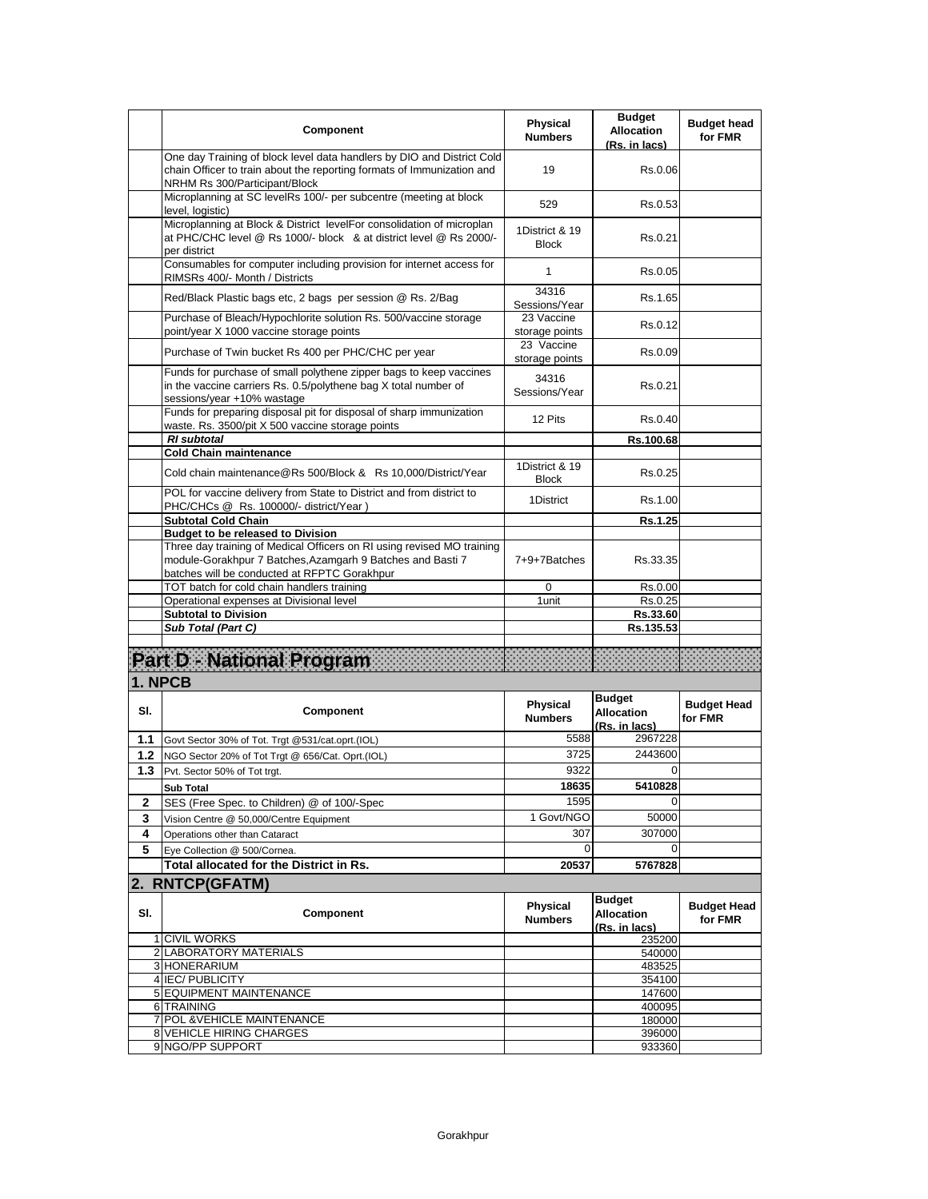|            | Component                                                                                                                                                                                                                        | <b>Physical</b><br><b>Numbers</b> | <b>Budget</b><br><b>Allocation</b><br>(Rs. in lacs) | <b>Budget head</b><br>for FMR |
|------------|----------------------------------------------------------------------------------------------------------------------------------------------------------------------------------------------------------------------------------|-----------------------------------|-----------------------------------------------------|-------------------------------|
|            | One day Training of block level data handlers by DIO and District Cold<br>chain Officer to train about the reporting formats of Immunization and<br>NRHM Rs 300/Participant/Block                                                | 19                                | Rs.0.06                                             |                               |
|            | Microplanning at SC levelRs 100/- per subcentre (meeting at block<br>level, logistic)                                                                                                                                            | 529                               | Rs.0.53                                             |                               |
|            | Microplanning at Block & District levelFor consolidation of microplan<br>at PHC/CHC level @ Rs 1000/- block & at district level @ Rs 2000/-<br>per district                                                                      | 1District & 19<br><b>Block</b>    | Rs.0.21                                             |                               |
|            | Consumables for computer including provision for internet access for<br>RIMSRs 400/- Month / Districts                                                                                                                           | 1                                 | Rs.0.05                                             |                               |
|            | Red/Black Plastic bags etc, 2 bags per session @ Rs. 2/Bag                                                                                                                                                                       | 34316<br>Sessions/Year            | Rs.1.65                                             |                               |
|            | Purchase of Bleach/Hypochlorite solution Rs. 500/vaccine storage<br>point/year X 1000 vaccine storage points                                                                                                                     | 23 Vaccine<br>storage points      | Rs.0.12                                             |                               |
|            | Purchase of Twin bucket Rs 400 per PHC/CHC per year                                                                                                                                                                              | 23 Vaccine<br>storage points      | Rs.0.09                                             |                               |
|            | Funds for purchase of small polythene zipper bags to keep vaccines<br>in the vaccine carriers Rs. 0.5/polythene bag X total number of<br>sessions/year +10% wastage                                                              | 34316<br>Sessions/Year            | Rs.0.21                                             |                               |
|            | Funds for preparing disposal pit for disposal of sharp immunization<br>waste. Rs. 3500/pit X 500 vaccine storage points                                                                                                          | 12 Pits                           | Rs.0.40                                             |                               |
|            | <b>RI</b> subtotal<br><b>Cold Chain maintenance</b>                                                                                                                                                                              |                                   | Rs.100.68                                           |                               |
|            | Cold chain maintenance@Rs 500/Block & Rs 10,000/District/Year                                                                                                                                                                    | 1District & 19<br><b>Block</b>    | Rs.0.25                                             |                               |
|            | POL for vaccine delivery from State to District and from district to<br>PHC/CHCs @ Rs. 100000/- district/Year)                                                                                                                   | 1District                         | Rs.1.00                                             |                               |
|            | <b>Subtotal Cold Chain</b>                                                                                                                                                                                                       |                                   | Rs.1.25                                             |                               |
|            | <b>Budget to be released to Division</b><br>Three day training of Medical Officers on RI using revised MO training<br>module-Gorakhpur 7 Batches, Azamgarh 9 Batches and Basti 7<br>batches will be conducted at RFPTC Gorakhpur | 7+9+7Batches                      | Rs 33.35                                            |                               |
|            | TOT batch for cold chain handlers training                                                                                                                                                                                       | 0                                 | Rs.0.00                                             |                               |
|            | Operational expenses at Divisional level                                                                                                                                                                                         | 1 unit                            | Rs.0.25                                             |                               |
|            | <b>Subtotal to Division</b><br>Sub Total (Part C)                                                                                                                                                                                |                                   | Rs.33.60<br>Rs.135.53                               |                               |
|            |                                                                                                                                                                                                                                  |                                   |                                                     |                               |
|            | Part D - National Program                                                                                                                                                                                                        |                                   |                                                     |                               |
|            | 1. NPCB                                                                                                                                                                                                                          |                                   |                                                     |                               |
| SI.        | Component                                                                                                                                                                                                                        | <b>Physical</b><br><b>Numbers</b> | <b>Budget</b><br><b>Allocation</b><br>(Rs. in lacs) | <b>Budget Head</b><br>for FMR |
| 1.1        | Govt Sector 30% of Tot. Trgt @531/cat.oprt.(IOL)                                                                                                                                                                                 | 5588                              | 2967228                                             |                               |
| 1.2<br>1.3 | NGO Sector 20% of Tot Trgt @ 656/Cat. Oprt.(IOL)<br>Pvt. Sector 50% of Tot trgt.                                                                                                                                                 | 3725<br>9322                      | 2443600<br>0                                        |                               |
|            | <b>Sub Total</b>                                                                                                                                                                                                                 | 18635                             | 5410828                                             |                               |
| 2          | SES (Free Spec. to Children) @ of 100/-Spec                                                                                                                                                                                      | 1595                              | 0                                                   |                               |
| 3          | Vision Centre @ 50,000/Centre Equipment                                                                                                                                                                                          | 1 Govt/NGO                        | 50000                                               |                               |
| 4          | Operations other than Cataract                                                                                                                                                                                                   | 307                               | 307000                                              |                               |
| 5          | Eye Collection @ 500/Cornea.                                                                                                                                                                                                     | $\Omega$                          | 0                                                   |                               |
|            | Total allocated for the District in Rs.                                                                                                                                                                                          | 20537                             | 5767828                                             |                               |
|            | 2. RNTCP(GFATM)                                                                                                                                                                                                                  |                                   |                                                     |                               |
| SI.        | Component                                                                                                                                                                                                                        | Physical<br><b>Numbers</b>        | <b>Budget</b><br><b>Allocation</b><br>(Rs. in lacs) | <b>Budget Head</b><br>for FMR |
|            | 1 CIVIL WORKS                                                                                                                                                                                                                    |                                   | 235200                                              |                               |
|            | 2 LABORATORY MATERIALS                                                                                                                                                                                                           |                                   | 540000                                              |                               |
|            | 3 HONERARIUM<br>4 IEC/ PUBLICITY                                                                                                                                                                                                 |                                   | 483525<br>354100                                    |                               |
|            | 5 EQUIPMENT MAINTENANCE                                                                                                                                                                                                          |                                   | 147600                                              |                               |
|            | 6 TRAINING                                                                                                                                                                                                                       |                                   | 400095                                              |                               |
| 7          | POL & VEHICLE MAINTENANCE                                                                                                                                                                                                        |                                   | 180000                                              |                               |
|            | <b>8 VEHICLE HIRING CHARGES</b>                                                                                                                                                                                                  |                                   | 396000                                              |                               |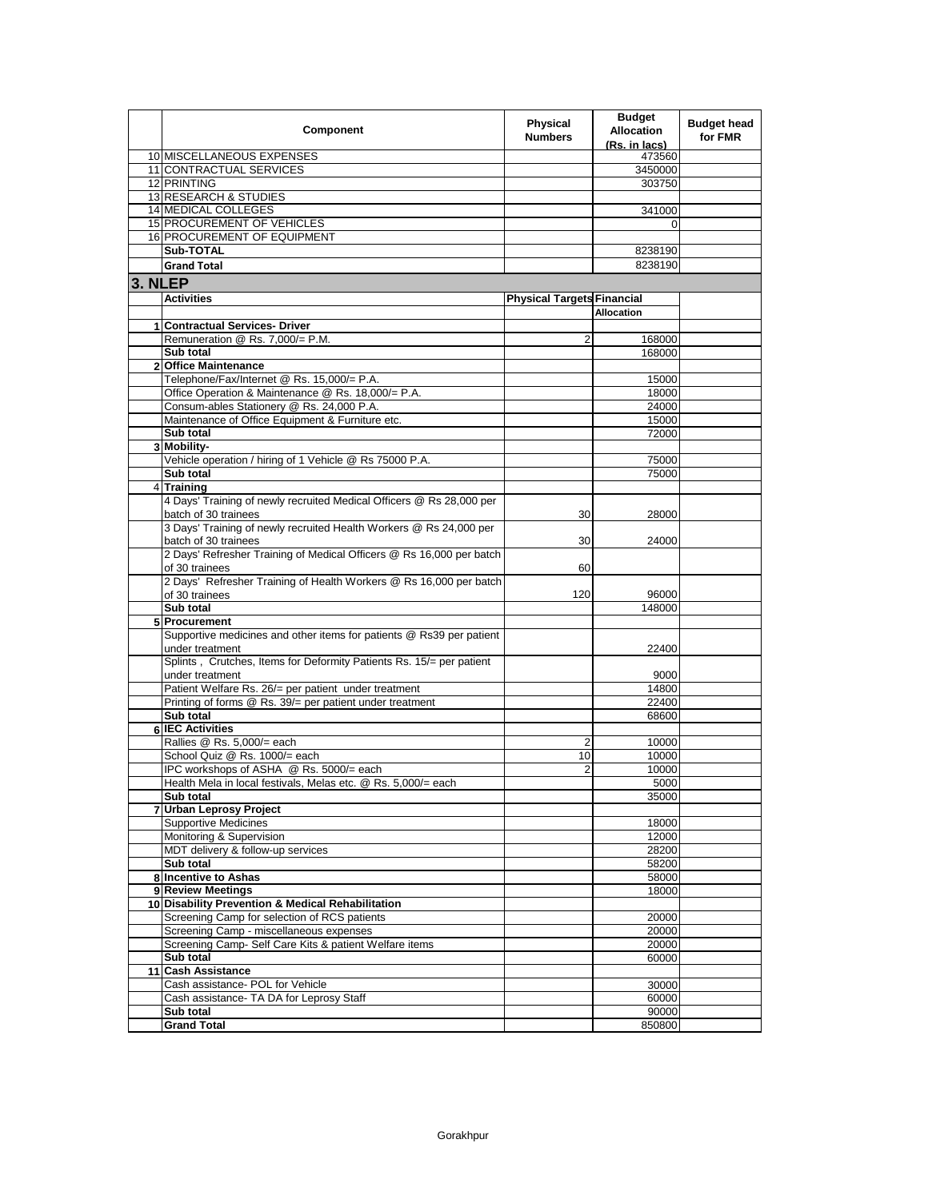|         | Component                                                            | <b>Physical</b><br><b>Numbers</b> | <b>Budget</b><br><b>Allocation</b><br>(Rs. in lacs) | <b>Budget head</b><br>for FMR |
|---------|----------------------------------------------------------------------|-----------------------------------|-----------------------------------------------------|-------------------------------|
|         | 10 MISCELLANEOUS EXPENSES                                            |                                   | 473560                                              |                               |
|         | 11 CONTRACTUAL SERVICES                                              |                                   | 3450000                                             |                               |
|         | 12 PRINTING                                                          |                                   | 303750                                              |                               |
|         | 13 RESEARCH & STUDIES                                                |                                   |                                                     |                               |
|         | <b>14 MEDICAL COLLEGES</b>                                           |                                   | 341000                                              |                               |
|         | 15 PROCUREMENT OF VEHICLES                                           |                                   | $\Omega$                                            |                               |
|         | 16 PROCUREMENT OF EQUIPMENT                                          |                                   |                                                     |                               |
|         | Sub-TOTAL                                                            |                                   | 8238190                                             |                               |
|         | <b>Grand Total</b>                                                   |                                   | 8238190                                             |                               |
| 3. NLEP |                                                                      |                                   |                                                     |                               |
|         | <b>Activities</b>                                                    | <b>Physical Targets Financial</b> |                                                     |                               |
|         |                                                                      |                                   | <b>Allocation</b>                                   |                               |
|         | 1 Contractual Services- Driver                                       |                                   |                                                     |                               |
|         | Remuneration @ Rs. 7,000/= P.M.                                      | 2                                 | 168000                                              |                               |
|         | Sub total                                                            |                                   | 168000                                              |                               |
|         | 2 Office Maintenance                                                 |                                   |                                                     |                               |
|         | Telephone/Fax/Internet @ Rs. 15,000/= P.A.                           |                                   | 15000                                               |                               |
|         | Office Operation & Maintenance @ Rs. 18,000/= P.A.                   |                                   | 18000                                               |                               |
|         | Consum-ables Stationery @ Rs. 24,000 P.A.                            |                                   | 24000                                               |                               |
|         | Maintenance of Office Equipment & Furniture etc.                     |                                   | 15000                                               |                               |
|         | Sub total                                                            |                                   | 72000                                               |                               |
|         | 3 Mobility-                                                          |                                   |                                                     |                               |
|         | Vehicle operation / hiring of 1 Vehicle @ Rs 75000 P.A.              |                                   | 75000                                               |                               |
|         | Sub total                                                            |                                   | 75000                                               |                               |
|         | 4 Training                                                           |                                   |                                                     |                               |
|         | 4 Days' Training of newly recruited Medical Officers @ Rs 28,000 per |                                   |                                                     |                               |
|         | batch of 30 trainees                                                 | 30                                | 28000                                               |                               |
|         | 3 Days' Training of newly recruited Health Workers @ Rs 24,000 per   |                                   |                                                     |                               |
|         | batch of 30 trainees                                                 | 30                                | 24000                                               |                               |
|         | 2 Days' Refresher Training of Medical Officers @ Rs 16,000 per batch |                                   |                                                     |                               |
|         | of 30 trainees                                                       | 60                                |                                                     |                               |
|         | 2 Days' Refresher Training of Health Workers @ Rs 16,000 per batch   |                                   |                                                     |                               |
|         | of 30 trainees                                                       | 120                               | 96000                                               |                               |
|         | Sub total                                                            |                                   | 148000                                              |                               |
|         | 5 Procurement                                                        |                                   |                                                     |                               |
|         | Supportive medicines and other items for patients @ Rs39 per patient |                                   |                                                     |                               |
|         | under treatment                                                      |                                   | 22400                                               |                               |
|         | Splints, Crutches, Items for Deformity Patients Rs. 15/= per patient |                                   |                                                     |                               |
|         | under treatment                                                      |                                   | 9000                                                |                               |
|         | Patient Welfare Rs. 26/= per patient under treatment                 |                                   | 14800                                               |                               |
|         | Printing of forms @ Rs. 39/= per patient under treatment             |                                   | 22400                                               |                               |
|         | Sub total<br><b>6 IEC Activities</b>                                 |                                   | 68600                                               |                               |
|         | Rallies @ Rs. 5,000/= each                                           |                                   | 10000                                               |                               |
|         | School Quiz @ Rs. 1000/= each                                        | 2<br>10                           | 10000                                               |                               |
|         | IPC workshops of ASHA @ Rs. 5000/= each                              | 2                                 | 10000                                               |                               |
|         | Health Mela in local festivals, Melas etc. @ Rs. 5,000/= each        |                                   | 5000                                                |                               |
|         | Sub total                                                            |                                   | 35000                                               |                               |
|         | 7 Urban Leprosy Project                                              |                                   |                                                     |                               |
|         | <b>Supportive Medicines</b>                                          |                                   | 18000                                               |                               |
|         | Monitoring & Supervision                                             |                                   | 12000                                               |                               |
|         | MDT delivery & follow-up services                                    |                                   | 28200                                               |                               |
|         | Sub total                                                            |                                   | 58200                                               |                               |
|         | 8 Incentive to Ashas                                                 |                                   | 58000                                               |                               |
|         | 9 Review Meetings                                                    |                                   | 18000                                               |                               |
|         | 10 Disability Prevention & Medical Rehabilitation                    |                                   |                                                     |                               |
|         | Screening Camp for selection of RCS patients                         |                                   | 20000                                               |                               |
|         | Screening Camp - miscellaneous expenses                              |                                   | 20000                                               |                               |
|         | Screening Camp- Self Care Kits & patient Welfare items               |                                   | 20000                                               |                               |
|         | Sub total                                                            |                                   | 60000                                               |                               |
|         | 11 Cash Assistance                                                   |                                   |                                                     |                               |
|         | Cash assistance- POL for Vehicle                                     |                                   | 30000                                               |                               |
|         | Cash assistance- TA DA for Leprosy Staff                             |                                   | 60000                                               |                               |
|         | Sub total                                                            |                                   | 90000                                               |                               |
|         | <b>Grand Total</b>                                                   |                                   | 850800                                              |                               |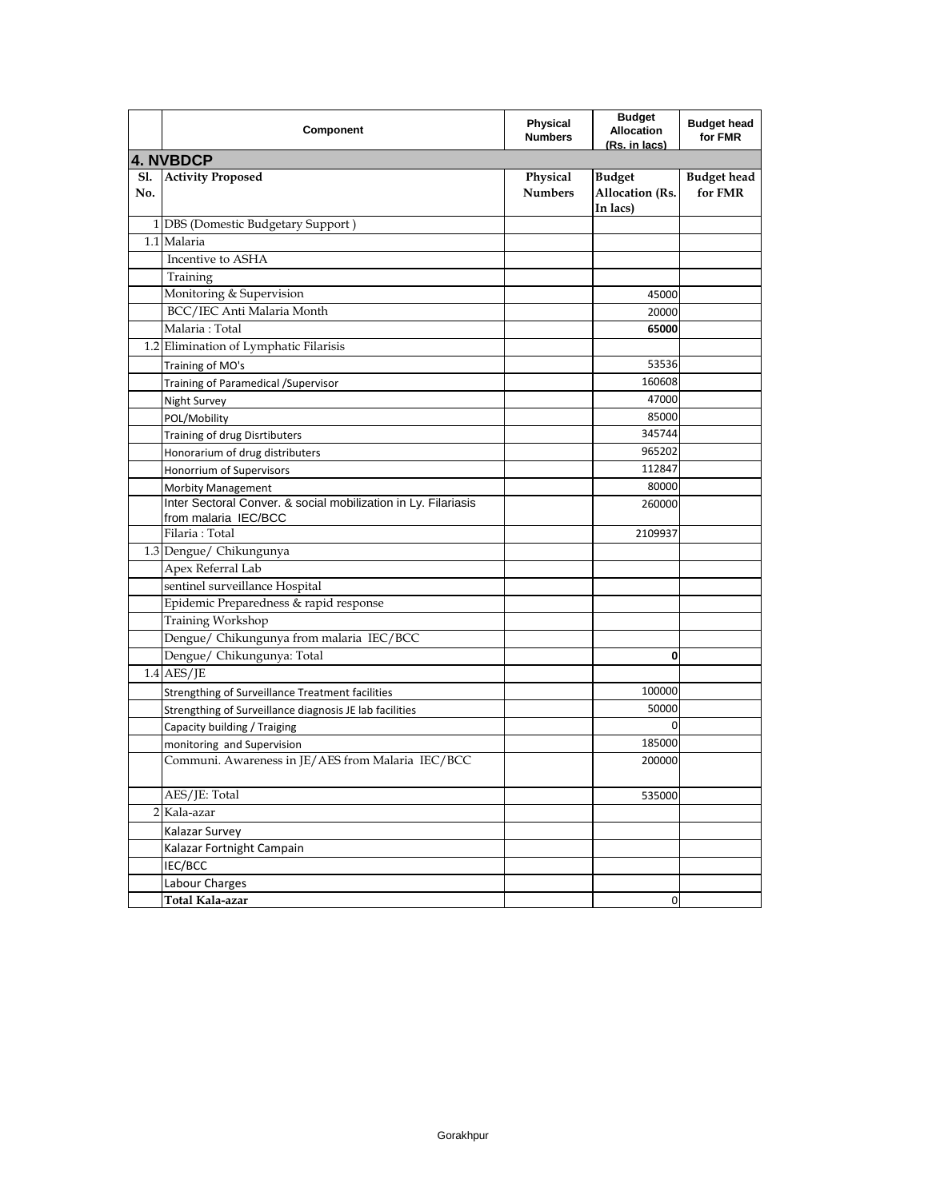|            | Component                                                                              | <b>Physical</b><br><b>Numbers</b> | <b>Budget</b><br><b>Allocation</b><br>(Rs. in lacs) | <b>Budget head</b><br>for FMR |
|------------|----------------------------------------------------------------------------------------|-----------------------------------|-----------------------------------------------------|-------------------------------|
|            | <b>4. NVBDCP</b>                                                                       |                                   |                                                     |                               |
| S1.<br>No. | <b>Activity Proposed</b>                                                               | Physical<br><b>Numbers</b>        | <b>Budget</b><br>Allocation (Rs.<br>In lacs)        | <b>Budget head</b><br>for FMR |
|            | 1 DBS (Domestic Budgetary Support)                                                     |                                   |                                                     |                               |
|            | 1.1 Malaria                                                                            |                                   |                                                     |                               |
|            | Incentive to ASHA                                                                      |                                   |                                                     |                               |
|            | Training                                                                               |                                   |                                                     |                               |
|            | Monitoring & Supervision                                                               |                                   | 45000                                               |                               |
|            | BCC/IEC Anti Malaria Month                                                             |                                   | 20000                                               |                               |
|            | Malaria: Total                                                                         |                                   | 65000                                               |                               |
|            | 1.2 Elimination of Lymphatic Filarisis                                                 |                                   |                                                     |                               |
|            | Training of MO's                                                                       |                                   | 53536                                               |                               |
|            | Training of Paramedical /Supervisor                                                    |                                   | 160608                                              |                               |
|            | <b>Night Survey</b>                                                                    |                                   | 47000                                               |                               |
|            | POL/Mobility                                                                           |                                   | 85000                                               |                               |
|            | <b>Training of drug Disrtibuters</b>                                                   |                                   | 345744                                              |                               |
|            | Honorarium of drug distributers                                                        |                                   | 965202                                              |                               |
|            | Honorrium of Supervisors                                                               |                                   | 112847                                              |                               |
|            | <b>Morbity Management</b>                                                              |                                   | 80000                                               |                               |
|            | Inter Sectoral Conver. & social mobilization in Ly. Filariasis<br>from malaria IEC/BCC |                                   | 260000                                              |                               |
|            | Filaria: Total                                                                         |                                   | 2109937                                             |                               |
|            | 1.3 Dengue/ Chikungunya                                                                |                                   |                                                     |                               |
|            | Apex Referral Lab                                                                      |                                   |                                                     |                               |
|            | sentinel surveillance Hospital                                                         |                                   |                                                     |                               |
|            | Epidemic Preparedness & rapid response                                                 |                                   |                                                     |                               |
|            | Training Workshop                                                                      |                                   |                                                     |                               |
|            | Dengue/ Chikungunya from malaria IEC/BCC                                               |                                   |                                                     |                               |
|            | Dengue/ Chikungunya: Total                                                             |                                   | 0                                                   |                               |
|            | $1.4$ AES/JE                                                                           |                                   |                                                     |                               |
|            | Strengthing of Surveillance Treatment facilities                                       |                                   | 100000                                              |                               |
|            | Strengthing of Surveillance diagnosis JE lab facilities                                |                                   | 50000                                               |                               |
|            | Capacity building / Traiging                                                           |                                   | $\mathbf 0$                                         |                               |
|            | monitoring and Supervision                                                             |                                   | 185000                                              |                               |
|            | Communi. Awareness in JE/AES from Malaria IEC/BCC                                      |                                   | 200000                                              |                               |
|            | AES/JE: Total                                                                          |                                   | 535000                                              |                               |
|            | 2 Kala-azar                                                                            |                                   |                                                     |                               |
|            | Kalazar Survey                                                                         |                                   |                                                     |                               |
|            | Kalazar Fortnight Campain                                                              |                                   |                                                     |                               |
|            | IEC/BCC                                                                                |                                   |                                                     |                               |
|            | Labour Charges                                                                         |                                   |                                                     |                               |
|            | Total Kala-azar                                                                        |                                   | 0                                                   |                               |